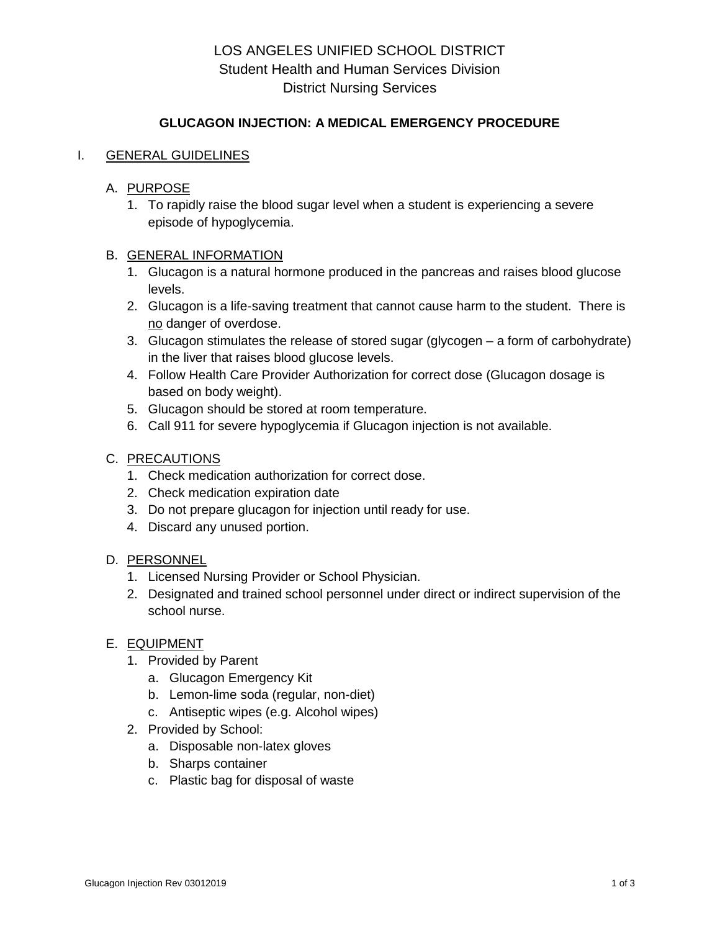# LOS ANGELES UNIFIED SCHOOL DISTRICT Student Health and Human Services Division District Nursing Services

# **GLUCAGON INJECTION: A MEDICAL EMERGENCY PROCEDURE**

## I. GENERAL GUIDELINES

### A. PURPOSE

1. To rapidly raise the blood sugar level when a student is experiencing a severe episode of hypoglycemia.

#### B. GENERAL INFORMATION

- 1. Glucagon is a natural hormone produced in the pancreas and raises blood glucose levels.
- 2. Glucagon is a life-saving treatment that cannot cause harm to the student. There is no danger of overdose.
- 3. Glucagon stimulates the release of stored sugar (glycogen a form of carbohydrate) in the liver that raises blood glucose levels.
- 4. Follow Health Care Provider Authorization for correct dose (Glucagon dosage is based on body weight).
- 5. Glucagon should be stored at room temperature.
- 6. Call 911 for severe hypoglycemia if Glucagon injection is not available.

## C. PRECAUTIONS

- 1. Check medication authorization for correct dose.
- 2. Check medication expiration date
- 3. Do not prepare glucagon for injection until ready for use.
- 4. Discard any unused portion.

#### D. PERSONNEL

- 1. Licensed Nursing Provider or School Physician.
- 2. Designated and trained school personnel under direct or indirect supervision of the school nurse.

#### E. EQUIPMENT

- 1. Provided by Parent
	- a. Glucagon Emergency Kit
	- b. Lemon-lime soda (regular, non-diet)
	- c. Antiseptic wipes (e.g. Alcohol wipes)
- 2. Provided by School:
	- a. Disposable non-latex gloves
	- b. Sharps container
	- c. Plastic bag for disposal of waste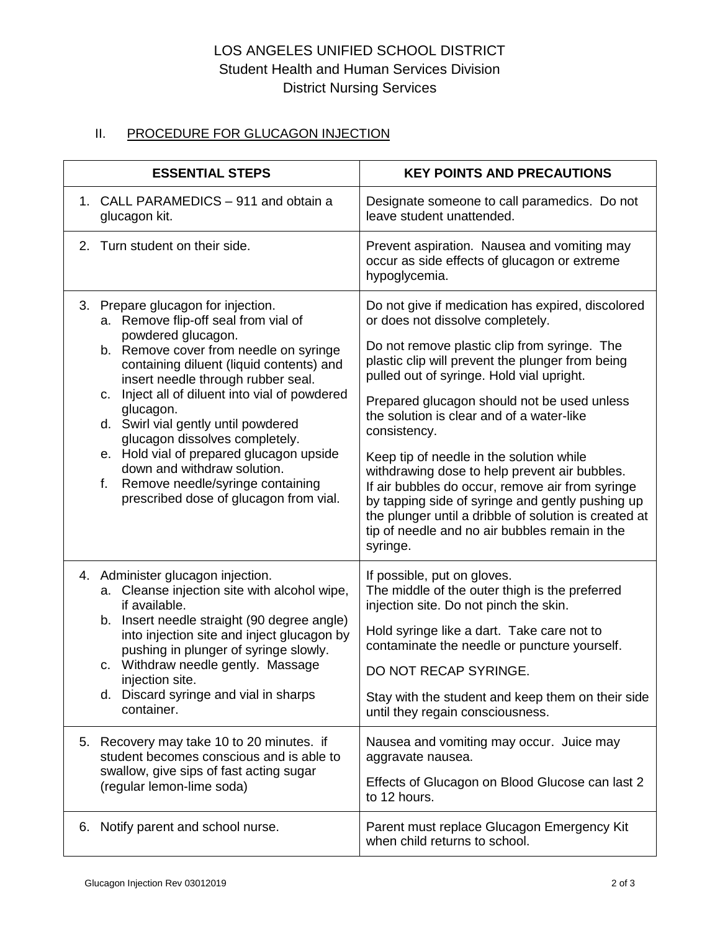# LOS ANGELES UNIFIED SCHOOL DISTRICT Student Health and Human Services Division District Nursing Services

# II. PROCEDURE FOR GLUCAGON INJECTION

| <b>ESSENTIAL STEPS</b>                                                                                                                                                                                                                                                                                                                                   | <b>KEY POINTS AND PRECAUTIONS</b>                                                                                                                                                                                                                                                                                                       |
|----------------------------------------------------------------------------------------------------------------------------------------------------------------------------------------------------------------------------------------------------------------------------------------------------------------------------------------------------------|-----------------------------------------------------------------------------------------------------------------------------------------------------------------------------------------------------------------------------------------------------------------------------------------------------------------------------------------|
| 1. CALL PARAMEDICS - 911 and obtain a                                                                                                                                                                                                                                                                                                                    | Designate someone to call paramedics. Do not                                                                                                                                                                                                                                                                                            |
| glucagon kit.                                                                                                                                                                                                                                                                                                                                            | leave student unattended.                                                                                                                                                                                                                                                                                                               |
| Turn student on their side.<br>2.                                                                                                                                                                                                                                                                                                                        | Prevent aspiration. Nausea and vomiting may<br>occur as side effects of glucagon or extreme<br>hypoglycemia.                                                                                                                                                                                                                            |
| 3. Prepare glucagon for injection.                                                                                                                                                                                                                                                                                                                       | Do not give if medication has expired, discolored                                                                                                                                                                                                                                                                                       |
| a. Remove flip-off seal from vial of                                                                                                                                                                                                                                                                                                                     | or does not dissolve completely.                                                                                                                                                                                                                                                                                                        |
| powdered glucagon.                                                                                                                                                                                                                                                                                                                                       | Do not remove plastic clip from syringe. The                                                                                                                                                                                                                                                                                            |
| b. Remove cover from needle on syringe                                                                                                                                                                                                                                                                                                                   | plastic clip will prevent the plunger from being                                                                                                                                                                                                                                                                                        |
| containing diluent (liquid contents) and                                                                                                                                                                                                                                                                                                                 | pulled out of syringe. Hold vial upright.                                                                                                                                                                                                                                                                                               |
| insert needle through rubber seal.                                                                                                                                                                                                                                                                                                                       | Prepared glucagon should not be used unless                                                                                                                                                                                                                                                                                             |
| c. Inject all of diluent into vial of powdered                                                                                                                                                                                                                                                                                                           | the solution is clear and of a water-like                                                                                                                                                                                                                                                                                               |
| glucagon.                                                                                                                                                                                                                                                                                                                                                | consistency.                                                                                                                                                                                                                                                                                                                            |
| d. Swirl vial gently until powdered                                                                                                                                                                                                                                                                                                                      | Keep tip of needle in the solution while                                                                                                                                                                                                                                                                                                |
| glucagon dissolves completely.                                                                                                                                                                                                                                                                                                                           | withdrawing dose to help prevent air bubbles.                                                                                                                                                                                                                                                                                           |
| e. Hold vial of prepared glucagon upside                                                                                                                                                                                                                                                                                                                 | If air bubbles do occur, remove air from syringe                                                                                                                                                                                                                                                                                        |
| down and withdraw solution.                                                                                                                                                                                                                                                                                                                              | by tapping side of syringe and gently pushing up                                                                                                                                                                                                                                                                                        |
| Remove needle/syringe containing                                                                                                                                                                                                                                                                                                                         | the plunger until a dribble of solution is created at                                                                                                                                                                                                                                                                                   |
| f.                                                                                                                                                                                                                                                                                                                                                       | tip of needle and no air bubbles remain in the                                                                                                                                                                                                                                                                                          |
| prescribed dose of glucagon from vial.                                                                                                                                                                                                                                                                                                                   | syringe.                                                                                                                                                                                                                                                                                                                                |
| 4. Administer glucagon injection.<br>a. Cleanse injection site with alcohol wipe,<br>if available.<br>b. Insert needle straight (90 degree angle)<br>into injection site and inject glucagon by<br>pushing in plunger of syringe slowly.<br>c. Withdraw needle gently. Massage<br>injection site.<br>d. Discard syringe and vial in sharps<br>container. | If possible, put on gloves.<br>The middle of the outer thigh is the preferred<br>injection site. Do not pinch the skin.<br>Hold syringe like a dart. Take care not to<br>contaminate the needle or puncture yourself.<br>DO NOT RECAP SYRINGE.<br>Stay with the student and keep them on their side<br>until they regain consciousness. |
| 5. Recovery may take 10 to 20 minutes. if                                                                                                                                                                                                                                                                                                                | Nausea and vomiting may occur. Juice may                                                                                                                                                                                                                                                                                                |
| student becomes conscious and is able to                                                                                                                                                                                                                                                                                                                 | aggravate nausea.                                                                                                                                                                                                                                                                                                                       |
| swallow, give sips of fast acting sugar                                                                                                                                                                                                                                                                                                                  | Effects of Glucagon on Blood Glucose can last 2                                                                                                                                                                                                                                                                                         |
| (regular lemon-lime soda)                                                                                                                                                                                                                                                                                                                                | to 12 hours.                                                                                                                                                                                                                                                                                                                            |
| Notify parent and school nurse.                                                                                                                                                                                                                                                                                                                          | Parent must replace Glucagon Emergency Kit                                                                                                                                                                                                                                                                                              |
| 6.                                                                                                                                                                                                                                                                                                                                                       | when child returns to school.                                                                                                                                                                                                                                                                                                           |